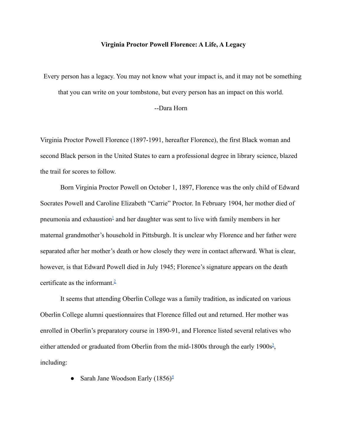## **Virginia Proctor Powell Florence: A Life, A Legacy**

Every person has a legacy. You may not know what your impact is, and it may not be something that you can write on your tombstone, but every person has an impact on this world.

## --Dara Horn

Virginia Proctor Powell Florence (1897-1991, hereafter Florence), the first Black woman and second Black person in the United States to earn a professional degree in library science, blazed the trail for scores to follow.

Born Virginia Proctor Powell on October 1, 1897, Florence was the only child of Edward Socrates Powell and Caroline Elizabeth "Carrie" Proctor. In February 1904, her mother died of pneumonia and exhaustion<sup>[1](#page-7-0)</sup> and her daughter was sent to live with family members in her maternal grandmother's household in Pittsburgh. It is unclear why Florence and her father were separated after her mother's death or how closely they were in contact afterward. What is clear, however, is that Edward Powell died in July 1945; Florence's signature appears on the death certificate as the informant. $\frac{2}{3}$  $\frac{2}{3}$  $\frac{2}{3}$ 

It seems that attending Oberlin College was a family tradition, as indicated on various Oberlin College alumni questionnaires that Florence filled out and returned. Her mother was enrolled in Oberlin's preparatory course in 1890-91, and Florence listed several relatives who either attended or graduated from Oberlin from the mid-1800s through the early 1900 $s^3$  $s^3$ , including:

• Sarah Jane Woodson Early  $(1856)^{\frac{4}{5}}$  $(1856)^{\frac{4}{5}}$  $(1856)^{\frac{4}{5}}$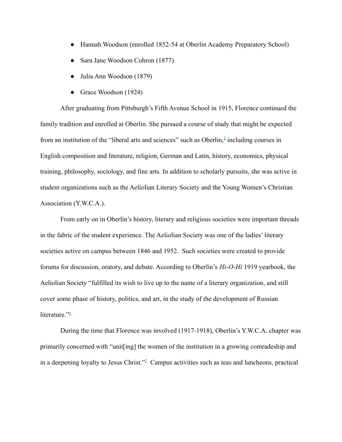- Hannah Woodson (enrolled 1852-54 at Oberlin Academy Preparatory School)
- Sara Jane Woodson Cohron (1877)
- Julia Ann Woodson (1879)
- Grace Woodson (1924)

After graduating from Pittsburgh's Fifth Avenue School in 1915, Florence continued the family tradition and enrolled at Oberlin. She pursued a course of study that might be expected from an institution of the "liberal arts and sciences" such as Oberlin, $\frac{5}{3}$  $\frac{5}{3}$  $\frac{5}{3}$  including courses in English composition and literature, religion, German and Latin, history, economics, physical training, philosophy, sociology, and fine arts. In addition to scholarly pursuits, she was active in student organizations such as the Aeliolian Literary Society and the Young Women's Christian Association (Y.W.C.A.).

From early on in Oberlin's history, literary and religious societies were important threads in the fabric of the student experience. The Aeliolian Society was one of the ladies' literary societies active on campus between 1846 and 1952. Such societies were created to provide forums for discussion, oratory, and debate. According to Oberlin's *Hi-O-Hi* 1919 yearbook, the Aeliolian Society "fulfilled its wish to live up to the name of a literary organization, and still cover some phase of history, politics, and art, in the study of the development of Russian literature." $6$ 

During the time that Florence was involved (1917-1918), Oberlin's Y.W.C.A. chapter was primarily concerned with "unit[ing] the women of the institution in a growing comradeship and in a deepening loyalty to Jesus Christ."<sup>2</sup> Campus activities such as teas and luncheons, practical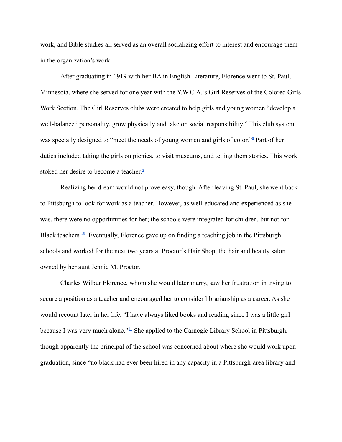work, and Bible studies all served as an overall socializing effort to interest and encourage them in the organization's work.

After graduating in 1919 with her BA in English Literature, Florence went to St. Paul, Minnesota, where she served for one year with the Y.W.C.A.'s Girl Reserves of the Colored Girls Work Section. The Girl Reserves clubs were created to help girls and young women "develop a well-balanced personality, grow physically and take on social responsibility." This club system was specially designed to "meet the needs of young women and girls of color."<sup>[8](#page-7-7)</sup> Part of her duties included taking the girls on picnics, to visit museums, and telling them stories. This work stoked her desire to become a teacher.<sup>2</sup>

Realizing her dream would not prove easy, though. After leaving St. Paul, she went back to Pittsburgh to look for work as a teacher. However, as well-educated and experienced as she was, there were no opportunities for her; the schools were integrated for children, but not for Black teachers.<sup>[10](#page-8-1)</sup> Eventually, Florence gave up on finding a teaching job in the Pittsburgh schools and worked for the next two years at Proctor's Hair Shop, the hair and beauty salon owned by her aunt Jennie M. Proctor.

Charles Wilbur Florence, whom she would later marry, saw her frustration in trying to secure a position as a teacher and encouraged her to consider librarianship as a career. As she would recount later in her life, "I have always liked books and reading since I was a little girl because I was very much alone."<sup>[11](#page-8-2)</sup> She applied to the Carnegie Library School in Pittsburgh, though apparently the principal of the school was concerned about where she would work upon graduation, since "no black had ever been hired in any capacity in a Pittsburgh-area library and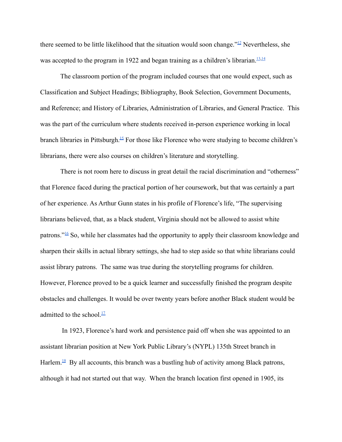there seemed to be little likelihood that the situation would soon change." $\frac{12}{12}$  $\frac{12}{12}$  $\frac{12}{12}$  Nevertheless, she was accepted to the program in 1922 and began training as a children's librarian.<sup>[13](#page-8-4)[,14](#page-8-5)</sup>

The classroom portion of the program included courses that one would expect, such as Classification and Subject Headings; Bibliography, Book Selection, Government Documents, and Reference; and History of Libraries, Administration of Libraries, and General Practice. This was the part of the curriculum where students received in-person experience working in local branch libraries in Pittsburgh.<sup>[15](#page-8-6)</sup> For those like Florence who were studying to become children's librarians, there were also courses on children's literature and storytelling.

There is not room here to discuss in great detail the racial discrimination and "otherness" that Florence faced during the practical portion of her coursework, but that was certainly a part of her experience. As Arthur Gunn states in his profile of Florence's life, "The supervising librarians believed, that, as a black student, Virginia should not be allowed to assist white patrons."[16](#page-8-7) So, while her classmates had the opportunity to apply their classroom knowledge and sharpen their skills in actual library settings, she had to step aside so that white librarians could assist library patrons. The same was true during the storytelling programs for children. However, Florence proved to be a quick learner and successfully finished the program despite obstacles and challenges. It would be over twenty years before another Black student would be admitted to the school. $\frac{17}{1}$  $\frac{17}{1}$  $\frac{17}{1}$ 

In 1923, Florence's hard work and persistence paid off when she was appointed to an assistant librarian position at New York Public Library's (NYPL) 135th Street branch in Harlem.<sup>[18](#page-9-1)</sup> By all accounts, this branch was a bustling hub of activity among Black patrons, although it had not started out that way. When the branch location first opened in 1905, its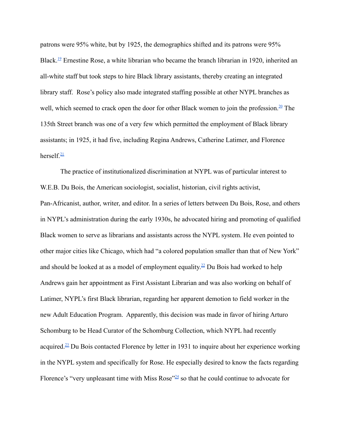patrons were 95% white, but by 1925, the demographics shifted and its patrons were 95% Black.<sup>[19](#page-9-2)</sup> Ernestine Rose, a white librarian who became the branch librarian in 1920, inherited an all-white staff but took steps to hire Black library assistants, thereby creating an integrated library staff. Rose's policy also made integrated staffing possible at other NYPL branches as well, which seemed to crack open the door for other Black women to join the profession. $20$  The 135th Street branch was one of a very few which permitted the employment of Black library assistants; in 1925, it had five, including Regina Andrews, Catherine Latimer, and Florence herself. $\frac{21}{2}$  $\frac{21}{2}$  $\frac{21}{2}$ 

The practice of institutionalized discrimination at NYPL was of particular interest to W.E.B. Du Bois, the American sociologist, socialist, historian, civil rights activist, Pan-Africanist, author, writer, and editor. In a series of letters between Du Bois, Rose, and others in NYPL's administration during the early 1930s, he advocated hiring and promoting of qualified Black women to serve as librarians and assistants across the NYPL system. He even pointed to other major cities like Chicago, which had "a colored population smaller than that of New York" and should be looked at as a model of employment equality.<sup>[22](#page-9-5)</sup> Du Bois had worked to help Andrews gain her appointment as First Assistant Librarian and was also working on behalf of Latimer, NYPL's first Black librarian, regarding her apparent demotion to field worker in the new Adult Education Program. Apparently, this decision was made in favor of hiring Arturo Schomburg to be Head Curator of the Schomburg Collection, which NYPL had recently acquired.[23](#page-9-6) Du Bois contacted Florence by letter in 1931 to inquire about her experience working in the NYPL system and specifically for Rose. He especially desired to know the facts regarding Florence's "very unpleasant time with Miss Rose"<sup>[24](#page-9-7)</sup> so that he could continue to advocate for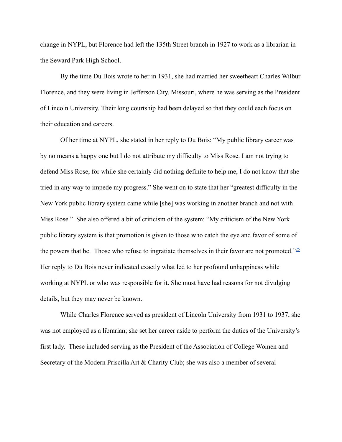change in NYPL, but Florence had left the 135th Street branch in 1927 to work as a librarian in the Seward Park High School.

By the time Du Bois wrote to her in 1931, she had married her sweetheart Charles Wilbur Florence, and they were living in Jefferson City, Missouri, where he was serving as the President of Lincoln University. Their long courtship had been delayed so that they could each focus on their education and careers.

Of her time at NYPL, she stated in her reply to Du Bois: "My public library career was by no means a happy one but I do not attribute my difficulty to Miss Rose. I am not trying to defend Miss Rose, for while she certainly did nothing definite to help me, I do not know that she tried in any way to impede my progress." She went on to state that her "greatest difficulty in the New York public library system came while [she] was working in another branch and not with Miss Rose." She also offered a bit of criticism of the system: "My criticism of the New York public library system is that promotion is given to those who catch the eye and favor of some of the powers that be. Those who refuse to ingratiate themselves in their favor are not promoted." $^{25}$  $^{25}$  $^{25}$ Her reply to Du Bois never indicated exactly what led to her profound unhappiness while working at NYPL or who was responsible for it. She must have had reasons for not divulging details, but they may never be known.

While Charles Florence served as president of Lincoln University from 1931 to 1937, she was not employed as a librarian; she set her career aside to perform the duties of the University's first lady. These included serving as the President of the Association of College Women and Secretary of the Modern Priscilla Art & Charity Club; she was also a member of several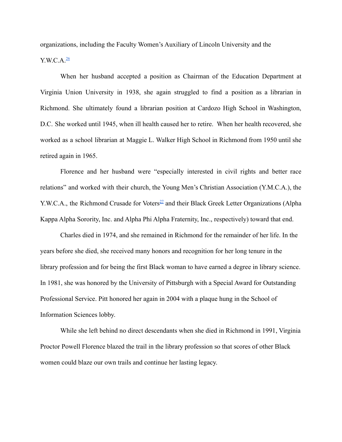organizations, including the Faculty Women's Auxiliary of Lincoln University and the

Y.W.C.A. $\frac{26}{2}$  $\frac{26}{2}$  $\frac{26}{2}$ 

When her husband accepted a position as Chairman of the Education Department at Virginia Union University in 1938, she again struggled to find a position as a librarian in Richmond. She ultimately found a librarian position at Cardozo High School in Washington, D.C. She worked until 1945, when ill health caused her to retire. When her health recovered, she worked as a school librarian at Maggie L. Walker High School in Richmond from 1950 until she retired again in 1965.

Florence and her husband were "especially interested in civil rights and better race relations" and worked with their church, the Young Men's Christian Association (Y.M.C.A.), the Y.W.C.A., the Richmond Crusade for Voters<sup>[27](#page-10-2)</sup> and their Black Greek Letter Organizations (Alpha Kappa Alpha Sorority, Inc. and Alpha Phi Alpha Fraternity, Inc., respectively) toward that end.

Charles died in 1974, and she remained in Richmond for the remainder of her life. In the years before she died, she received many honors and recognition for her long tenure in the library profession and for being the first Black woman to have earned a degree in library science. In 1981, she was honored by the University of Pittsburgh with a Special Award for Outstanding Professional Service. Pitt honored her again in 2004 with a plaque hung in the School of Information Sciences lobby.

While she left behind no direct descendants when she died in Richmond in 1991, Virginia Proctor Powell Florence blazed the trail in the library profession so that scores of other Black women could blaze our own trails and continue her lasting legacy.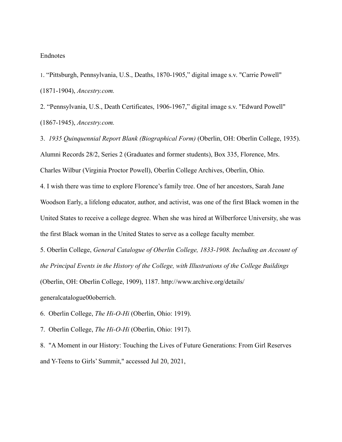## Endnotes

<span id="page-7-0"></span>1. "Pittsburgh, Pennsylvania, U.S., Deaths, 1870-1905," digital image s.v. "Carrie Powell" (1871-1904), *Ancestry.com.*

<span id="page-7-1"></span>2. "Pennsylvania, U.S., Death Certificates, 1906-1967," digital image s.v. "Edward Powell" (1867-1945), *Ancestry.com.*

<span id="page-7-3"></span><span id="page-7-2"></span>3. *1935 Quinquennial Report Blank (Biographical Form)* (Oberlin, OH: Oberlin College, 1935). Alumni Records 28/2, Series 2 (Graduates and former students), Box 335, Florence, Mrs. Charles Wilbur (Virginia Proctor Powell), Oberlin College Archives, Oberlin, Ohio. 4. I wish there was time to explore Florence's family tree. One of her ancestors, Sarah Jane Woodson Early, a lifelong educator, author, and activist, was one of the first Black women in the United States to receive a college degree. When she was hired at Wilberforce University, she was

the first Black woman in the United States to serve as a college faculty member.

<span id="page-7-4"></span>5. Oberlin College, *General Catalogue of Oberlin College, 1833-1908. Including an Account of the Principal Events in the History of the College, with Illustrations of the College Buildings* (Oberlin, OH: Oberlin College, 1909), 1187. http://www.archive.org/details/

generalcatalogue00oberrich.

<span id="page-7-5"></span>6. Oberlin College, *The Hi-O-Hi* (Oberlin, Ohio: 1919).

<span id="page-7-6"></span>7. Oberlin College, *The Hi-O-Hi* (Oberlin, Ohio: 1917).

<span id="page-7-7"></span>8. "A Moment in our History: Touching the Lives of Future Generations: From Girl Reserves and Y-Teens to Girls' Summit," accessed Jul 20, 2021,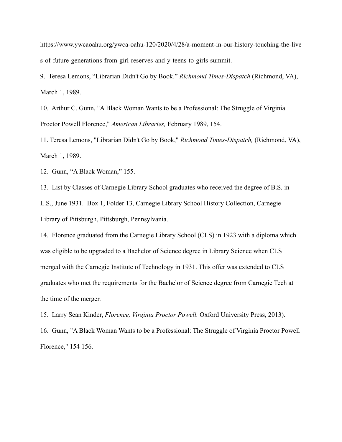https://www.ywcaoahu.org/ywca-oahu-120/2020/4/28/a-moment-in-our-history-touching-the-live s-of-future-generations-from-girl-reserves-and-y-teens-to-girls-summit.

<span id="page-8-0"></span>9. Teresa Lemons, "Librarian Didn't Go by Book." *Richmond Times-Dispatch* (Richmond, VA), March 1, 1989.

<span id="page-8-1"></span>10. Arthur C. Gunn, "A Black Woman Wants to be a Professional: The Struggle of Virginia Proctor Powell Florence," *American Libraries,* February 1989, 154.

<span id="page-8-2"></span>11. Teresa Lemons, "Librarian Didn't Go by Book," *Richmond Times-Dispatch,* (Richmond, VA), March 1, 1989.

<span id="page-8-3"></span>12. Gunn, "A Black Woman," 155.

<span id="page-8-4"></span>13. List by Classes of Carnegie Library School graduates who received the degree of B.S. in L.S., June 1931. Box 1, Folder 13, Carnegie Library School History Collection, Carnegie Library of Pittsburgh, Pittsburgh, Pennsylvania.

<span id="page-8-5"></span>14. Florence graduated from the Carnegie Library School (CLS) in 1923 with a diploma which was eligible to be upgraded to a Bachelor of Science degree in Library Science when CLS merged with the Carnegie Institute of Technology in 1931. This offer was extended to CLS graduates who met the requirements for the Bachelor of Science degree from Carnegie Tech at the time of the merger.

<span id="page-8-6"></span>15. Larry Sean Kinder, *Florence, Virginia Proctor Powell.* Oxford University Press, 2013).

<span id="page-8-7"></span>16. Gunn, "A Black Woman Wants to be a Professional: The Struggle of Virginia Proctor Powell Florence," 154 156.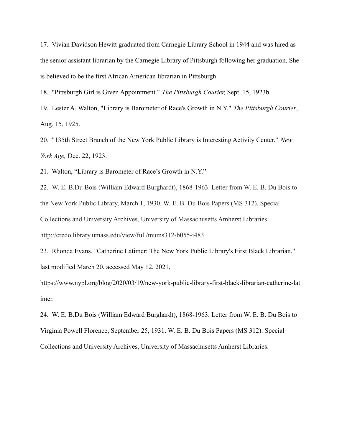<span id="page-9-0"></span>17. Vivian Davidson Hewitt graduated from Carnegie Library School in 1944 and was hired as the senior assistant librarian by the Carnegie Library of Pittsburgh following her graduation. She is believed to be the first African American librarian in Pittsburgh.

<span id="page-9-1"></span>18. "Pittsburgh Girl is Given Appointment." *The Pittsburgh Courier,* Sept. 15, 1923b.

<span id="page-9-2"></span>19. Lester A. Walton, "Library is Barometer of Race's Growth in N.Y." *The Pittsburgh Courier*, Aug. 15, 1925.

<span id="page-9-3"></span>20. "135th Street Branch of the New York Public Library is Interesting Activity Center." *New York Age,* Dec. 22, 1923.

<span id="page-9-4"></span>21. Walton, "Library is Barometer of Race's Growth in N.Y."

<span id="page-9-5"></span>22. W. E. B.Du Bois (William Edward Burghardt), 1868-1963. Letter from W. E. B. Du Bois to the New York Public Library, March 1, 1930. W. E. B. Du Bois Papers (MS 312). Special Collections and University Archives, University of Massachusetts Amherst Libraries. http://credo.library.umass.edu/view/full/mums312-b055-i483.

<span id="page-9-6"></span>23. Rhonda Evans. "Catherine Latimer: The New York Public Library's First Black Librarian," last modified March 20, accessed May 12, 2021,

https://www.nypl.org/blog/2020/03/19/new-york-public-library-first-black-librarian-catherine-lat imer.

<span id="page-9-7"></span>24. W. E. B.Du Bois (William Edward Burghardt), 1868-1963. Letter from W. E. B. Du Bois to Virginia Powell Florence, September 25, 1931. W. E. B. Du Bois Papers (MS 312). Special Collections and University Archives, University of Massachusetts Amherst Libraries.